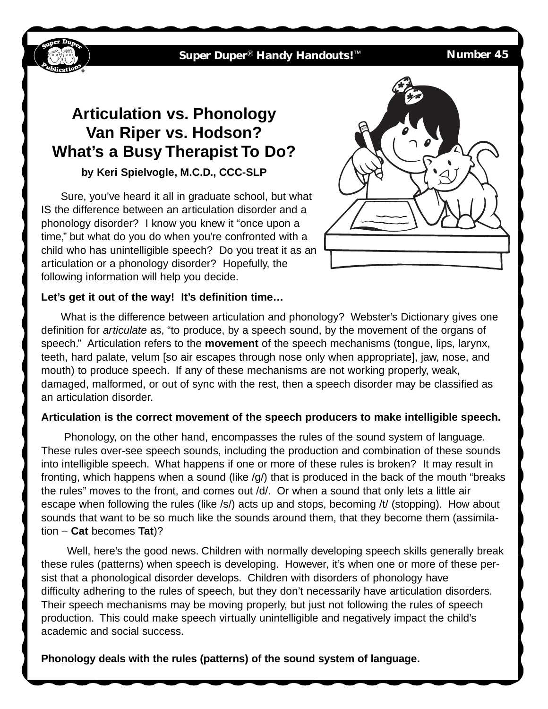**Super Duper**® **Handy Handouts!**™ **Number 45**

# **Articulation vs. Phonology Van Riper vs. Hodson? What's a Busy Therapist To Do?**

## **by Keri Spielvogle, M.C.D., CCC-SLP**

Sure, you've heard it all in graduate school, but what IS the difference between an articulation disorder and a phonology disorder? I know you knew it "once upon a time," but what do you do when you're confronted with a child who has unintelligible speech? Do you treat it as an articulation or a phonology disorder? Hopefully, the following information will help you decide.



### **Let's get it out of the way! It's definition time…**

What is the difference between articulation and phonology? Webster's Dictionary gives one definition for *articulate* as, "to produce, by a speech sound, by the movement of the organs of speech." Articulation refers to the **movement** of the speech mechanisms (tongue, lips, larynx, teeth, hard palate, velum [so air escapes through nose only when appropriate], jaw, nose, and mouth) to produce speech. If any of these mechanisms are not working properly, weak, damaged, malformed, or out of sync with the rest, then a speech disorder may be classified as an articulation disorder.

## **Articulation is the correct movement of the speech producers to make intelligible speech.**

Phonology, on the other hand, encompasses the rules of the sound system of language. These rules over-see speech sounds, including the production and combination of these sounds into intelligible speech. What happens if one or more of these rules is broken? It may result in fronting, which happens when a sound (like /g/) that is produced in the back of the mouth "breaks the rules" moves to the front, and comes out /d/. Or when a sound that only lets a little air escape when following the rules (like /s/) acts up and stops, becoming /t/ (stopping). How about sounds that want to be so much like the sounds around them, that they become them (assimilation – **Cat** becomes **Tat**)?

Well, here's the good news. Children with normally developing speech skills generally break these rules (patterns) when speech is developing. However, it's when one or more of these persist that a phonological disorder develops. Children with disorders of phonology have difficulty adhering to the rules of speech, but they don't necessarily have articulation disorders. Their speech mechanisms may be moving properly, but just not following the rules of speech production. This could make speech virtually unintelligible and negatively impact the child's academic and social success.

**Phonology deals with the rules (patterns) of the sound system of language.**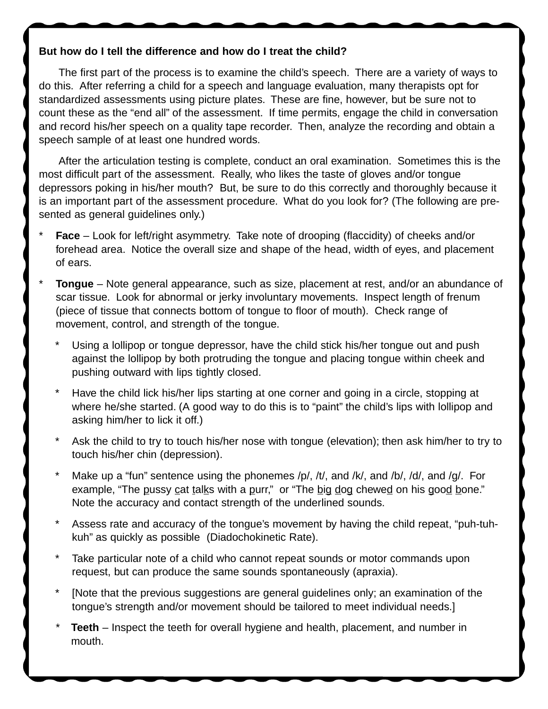### **But how do I tell the difference and how do I treat the child?**

The first part of the process is to examine the child's speech. There are a variety of ways to do this. After referring a child for a speech and language evaluation, many therapists opt for standardized assessments using picture plates. These are fine, however, but be sure not to count these as the "end all" of the assessment. If time permits, engage the child in conversation and record his/her speech on a quality tape recorder. Then, analyze the recording and obtain a speech sample of at least one hundred words.

After the articulation testing is complete, conduct an oral examination. Sometimes this is the most difficult part of the assessment. Really, who likes the taste of gloves and/or tongue depressors poking in his/her mouth? But, be sure to do this correctly and thoroughly because it is an important part of the assessment procedure. What do you look for? (The following are presented as general guidelines only.)

- **Face** Look for left/right asymmetry. Take note of drooping (flaccidity) of cheeks and/or forehead area. Notice the overall size and shape of the head, width of eyes, and placement of ears.
- **Tongue** Note general appearance, such as size, placement at rest, and/or an abundance of scar tissue. Look for abnormal or jerky involuntary movements. Inspect length of frenum (piece of tissue that connects bottom of tongue to floor of mouth). Check range of movement, control, and strength of the tongue.
	- Using a lollipop or tongue depressor, have the child stick his/her tongue out and push against the lollipop by both protruding the tongue and placing tongue within cheek and pushing outward with lips tightly closed.
	- \* Have the child lick his/her lips starting at one corner and going in a circle, stopping at where he/she started. (A good way to do this is to "paint" the child's lips with lollipop and asking him/her to lick it off.)
	- Ask the child to try to touch his/her nose with tongue (elevation); then ask him/her to try to touch his/her chin (depression).
	- Make up a "fun" sentence using the phonemes /p/, /t/, and /k/, and /b/, /d/, and /g/. For example, "The pussy cat talks with a purr," or "The big dog chewed on his good bone." Note the accuracy and contact strength of the underlined sounds.
	- Assess rate and accuracy of the tongue's movement by having the child repeat, "puh-tuhkuh" as quickly as possible (Diadochokinetic Rate).
	- Take particular note of a child who cannot repeat sounds or motor commands upon request, but can produce the same sounds spontaneously (apraxia).
	- [Note that the previous suggestions are general guidelines only; an examination of the tongue's strength and/or movement should be tailored to meet individual needs.]
	- **Teeth** Inspect the teeth for overall hygiene and health, placement, and number in mouth.